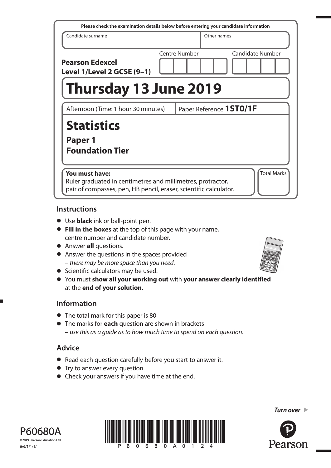| Please check the examination details below before entering your candidate information                                                              |                      |                         |                         |
|----------------------------------------------------------------------------------------------------------------------------------------------------|----------------------|-------------------------|-------------------------|
| Candidate surname                                                                                                                                  |                      | Other names             |                         |
| <b>Pearson Edexcel</b><br>Level 1/Level 2 GCSE (9-1)                                                                                               | <b>Centre Number</b> |                         | <b>Candidate Number</b> |
| Thursday 13 June 2019                                                                                                                              |                      |                         |                         |
| Afternoon (Time: 1 hour 30 minutes)                                                                                                                |                      | Paper Reference 1ST0/1F |                         |
| <b>Statistics</b><br>Paper 1<br><b>Foundation Tier</b>                                                                                             |                      |                         |                         |
| You must have:<br>Ruler graduated in centimetres and millimetres, protractor,<br>pair of compasses, pen, HB pencil, eraser, scientific calculator. |                      |                         | <b>Total Marks</b>      |

### **Instructions**

- Use **black** ink or ball-point pen.
- **Fill in the boxes** at the top of this page with your name, centre number and candidate number.
- Answer **all** questions.
- Answer the questions in the spaces provided – there may be more space than you need.
- Scientific calculators may be used.
- You must **show all your working out** with **your answer clearly identified** at the **end of your solution**.

## **Information**

- The total mark for this paper is 80
- The marks for **each** question are shown in brackets – use this as a guide as to how much time to spend on each question.

# **Advice**

- Read each question carefully before you start to answer it.
- Try to answer every question.
- Check your answers if you have time at the end.



*Turn over* 





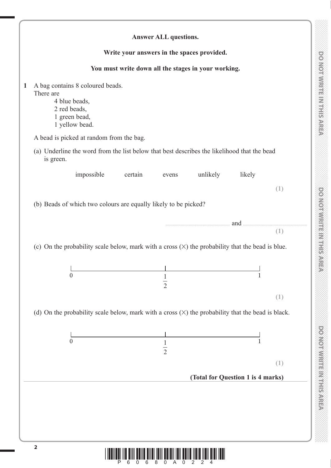DO NOTWRITE MITHIERAREA

|                                                                                                                   |         | <b>Answer ALL questions.</b>   |                                                     |                                 |     |
|-------------------------------------------------------------------------------------------------------------------|---------|--------------------------------|-----------------------------------------------------|---------------------------------|-----|
|                                                                                                                   |         |                                | Write your answers in the spaces provided.          |                                 |     |
|                                                                                                                   |         |                                | You must write down all the stages in your working. |                                 |     |
| A bag contains 8 coloured beads.<br>There are<br>4 blue beads,<br>2 red beads,<br>1 green bead,<br>1 yellow bead. |         |                                |                                                     |                                 |     |
| A bead is picked at random from the bag.                                                                          |         |                                |                                                     |                                 |     |
| (a) Underline the word from the list below that best describes the likelihood that the bead<br>is green.          |         |                                |                                                     |                                 |     |
| impossible                                                                                                        | certain | evens                          | unlikely                                            | likely                          |     |
|                                                                                                                   |         |                                |                                                     |                                 | (1) |
| (b) Beads of which two colours are equally likely to be picked?                                                   |         |                                |                                                     |                                 |     |
|                                                                                                                   |         |                                |                                                     |                                 |     |
|                                                                                                                   |         |                                |                                                     | and <u>manual communication</u> |     |
|                                                                                                                   |         |                                |                                                     |                                 | (1) |
|                                                                                                                   |         |                                |                                                     |                                 |     |
| (c) On the probability scale below, mark with a cross $(X)$ the probability that the bead is blue.                |         |                                |                                                     |                                 |     |
|                                                                                                                   |         |                                |                                                     |                                 |     |
|                                                                                                                   |         |                                |                                                     |                                 |     |
| $\boldsymbol{0}$                                                                                                  |         | $\mathbf{1}$<br>$\overline{2}$ |                                                     | $\mathbf 1$                     |     |
|                                                                                                                   |         |                                |                                                     |                                 | (1) |
|                                                                                                                   |         |                                |                                                     |                                 |     |
| (d) On the probability scale below, mark with a cross $(X)$ the probability that the bead is black.               |         |                                |                                                     |                                 |     |
|                                                                                                                   |         |                                |                                                     |                                 |     |
| $\mathbf{0}$                                                                                                      |         |                                |                                                     | $\mathbf{1}$                    |     |
|                                                                                                                   |         |                                | $\frac{1}{2}$                                       |                                 |     |
|                                                                                                                   |         |                                |                                                     |                                 | (1) |

 $\begin{array}{c} \hbox{|||| ||} \hbox{|| ||} \hbox{||} \hbox{||} \hbox{||} \hbox{||} \hbox{||} \hbox{||} \hbox{||} \hbox{||} \hbox{||} \hbox{||} \hbox{||} \hbox{||} \hbox{||} \hbox{||} \hbox{||} \hbox{||} \hbox{||} \hbox{||} \hbox{||} \hbox{||} \hbox{||} \hbox{||} \hbox{||} \hbox{||} \hbox{||} \hbox{||} \hbox{||} \hbox{||} \hbox{||} \hbox{||} \hbox{||} \hbox{||} \hbox{||}$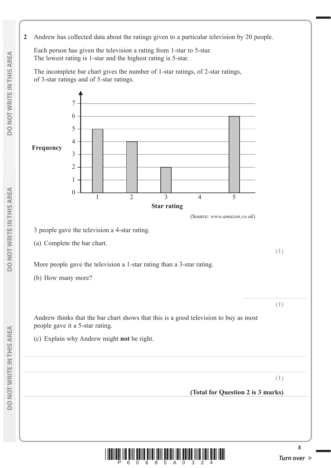**2** Andrew has collected data about the ratings given to a particular television by 20 people.

 Each person has given the television a rating from 1-star to 5-star. The lowest rating is 1-star and the highest rating is 5-star.

 The incomplete bar chart gives the number of 1-star ratings, of 2-star ratings, of 3-star ratings and of 5-star ratings.





**3**

**MONOTHWRITEIN MEDICAL**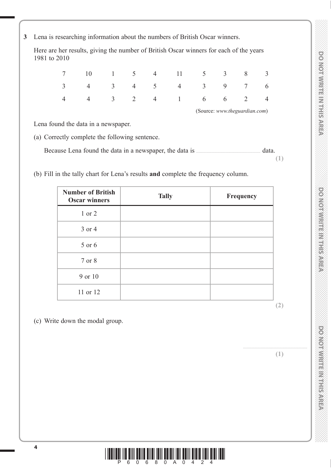**3** Lena is researching information about the numbers of British Oscar winners.

 Here are her results, giving the number of British Oscar winners for each of the years 1981 to 2010

|  |  | $7 \t10 \t1 \t5 \t4 \t11 \t5 \t3 \t8 \t3$                                            |  |  |
|--|--|--------------------------------------------------------------------------------------|--|--|
|  |  | $3 \qquad 4 \qquad 3 \qquad 4 \qquad 5 \qquad 4 \qquad 3 \qquad 9 \qquad 7 \qquad 6$ |  |  |
|  |  | 4 4 3 2 4 1 6 6 2 4                                                                  |  |  |

(Source: *www.theguardian.com*)

Lena found the data in a newspaper.

(a) Correctly complete the following sentence.

Because Lena found the data in a newspaper, the data is ....................................................... data.

(b) Fill in the tally chart for Lena's results **and** complete the frequency column.

| <b>Number of British</b><br><b>Oscar winners</b> | <b>Tally</b> | Frequency |
|--------------------------------------------------|--------------|-----------|
| 1 or 2                                           |              |           |
| 3 or 4                                           |              |           |
| 5 or 6                                           |              |           |
| 7 or 8                                           |              |           |
| 9 or 10                                          |              |           |
| 11 or 12                                         |              |           |

(c) Write down the modal group.

**(1)**

.......................................................

**(2)**

**(1)**

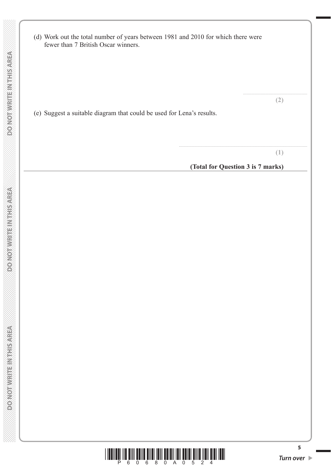| (d) Work out the total number of years between 1981 and 2010 for which there were<br>fewer than 7 British Oscar winners. |                                          |
|--------------------------------------------------------------------------------------------------------------------------|------------------------------------------|
| (e) Suggest a suitable diagram that could be used for Lena's results.                                                    | (2)                                      |
|                                                                                                                          | (1)<br>(Total for Question 3 is 7 marks) |
|                                                                                                                          |                                          |



**5**

 $\mathcal{L}$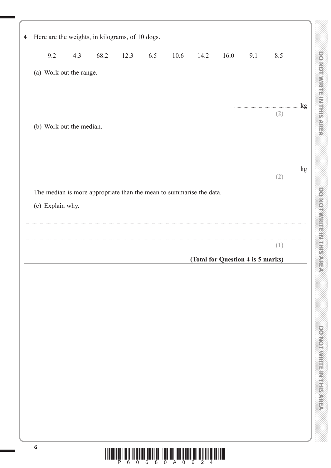| Here are the weights, in kilograms, of 10 dogs.                     |     |      |      |     |                                                                                      |      |                                   |     |          |               |
|---------------------------------------------------------------------|-----|------|------|-----|--------------------------------------------------------------------------------------|------|-----------------------------------|-----|----------|---------------|
| 9.2                                                                 | 4.3 | 68.2 | 12.3 | 6.5 | 10.6                                                                                 | 14.2 | 16.0                              | 9.1 | 8.5      |               |
| (a) Work out the range.                                             |     |      |      |     |                                                                                      |      |                                   |     |          |               |
|                                                                     |     |      |      |     |                                                                                      |      |                                   |     |          |               |
|                                                                     |     |      |      |     |                                                                                      |      |                                   |     | .<br>(2) | $\mathrm{kg}$ |
| (b) Work out the median.                                            |     |      |      |     |                                                                                      |      |                                   |     |          |               |
|                                                                     |     |      |      |     |                                                                                      |      |                                   |     |          |               |
|                                                                     |     |      |      |     |                                                                                      |      |                                   |     | (2)      | kg            |
| The median is more appropriate than the mean to summarise the data. |     |      |      |     |                                                                                      |      |                                   |     |          |               |
| (c) Explain why.                                                    |     |      |      |     |                                                                                      |      |                                   |     |          |               |
|                                                                     |     |      |      |     |                                                                                      |      |                                   |     |          |               |
|                                                                     |     |      |      |     |                                                                                      |      |                                   |     | (1)      |               |
|                                                                     |     |      |      |     |                                                                                      |      | (Total for Question 4 is 5 marks) |     |          |               |
|                                                                     |     |      |      |     |                                                                                      |      |                                   |     |          |               |
|                                                                     |     |      |      |     |                                                                                      |      |                                   |     |          |               |
|                                                                     |     |      |      |     |                                                                                      |      |                                   |     |          |               |
|                                                                     |     |      |      |     |                                                                                      |      |                                   |     |          |               |
|                                                                     |     |      |      |     |                                                                                      |      |                                   |     |          |               |
|                                                                     |     |      |      |     |                                                                                      |      |                                   |     |          |               |
|                                                                     |     |      |      |     |                                                                                      |      |                                   |     |          |               |
|                                                                     |     |      |      |     |                                                                                      |      |                                   |     |          |               |
|                                                                     |     |      |      |     |                                                                                      |      |                                   |     |          |               |
|                                                                     |     |      |      |     |                                                                                      |      |                                   |     |          |               |
| 6                                                                   |     |      |      |     | <u> I ISOITEK ITA KIIT KOITA KITKI TOITI KOIKII TOIT KOITA KITKI ITAIT KIKI TEKI</u> |      |                                   |     |          |               |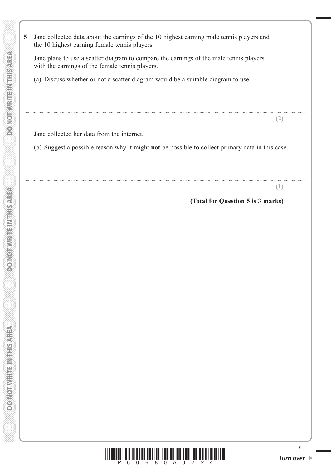**5** Jane collected data about the earnings of the 10 highest earning male tennis players and the 10 highest earning female tennis players. Jane plans to use a scatter diagram to compare the earnings of the male tennis players with the earnings of the female tennis players. (a) Discuss whether or not a scatter diagram would be a suitable diagram to use. .................................................................................................................................................................................................................................................. .................................................................................................................................................................................................................................................. **(2)** Jane collected her data from the internet. (b) Suggest a possible reason why it might **not** be possible to collect primary data in this case. ..................................................................................................................................................................................................................................................

..................................................................................................................................................................................................................................................

**(Total for Question 5 is 3 marks)**

**(1)**



**7**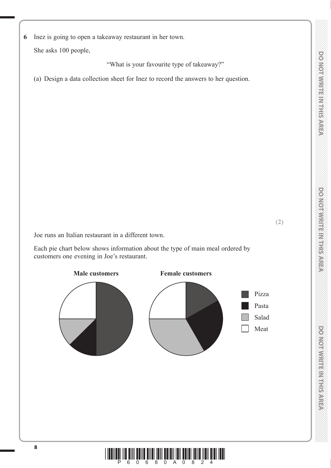**(2)**

DONOINVERTE MILLION 00

**6** Inez is going to open a takeaway restaurant in her town.

She asks 100 people,

"What is your favourite type of takeaway?"

(a) Design a data collection sheet for Inez to record the answers to her question.

Joe runs an Italian restaurant in a different town.

 Each pie chart below shows information about the type of main meal ordered by customers one evening in Joe's restaurant.

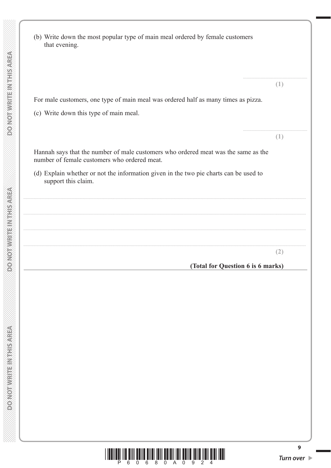| <b>MIBITION OF MORE</b> | For male customers, one type of main meal was ordered half as many times as pizza.<br>(c) Write down this type of main meal.       |
|-------------------------|------------------------------------------------------------------------------------------------------------------------------------|
|                         | Hannah says that the number of male customers who ordered meat was the same as the<br>number of female customers who ordered meat. |
|                         | (d) Explain whether or not the information given in the two pie charts can be used to<br>support this claim.                       |
|                         |                                                                                                                                    |
|                         |                                                                                                                                    |
|                         |                                                                                                                                    |

that evening.

 $(2)$ 

 $(1)$ 

 $(1)$ 

(Total for Question 6 is 6 marks)



(b) Write down the most popular type of main meal ordered by female customers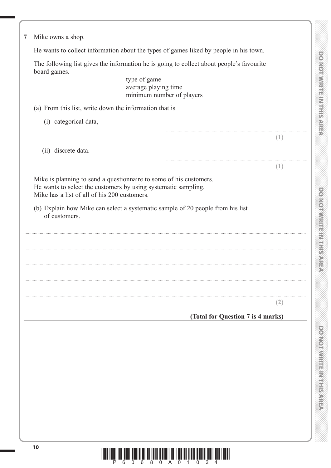| Mike owns a shop.                                             |                                                                                                                                                                                                                        |
|---------------------------------------------------------------|------------------------------------------------------------------------------------------------------------------------------------------------------------------------------------------------------------------------|
|                                                               | He wants to collect information about the types of games liked by people in his town.                                                                                                                                  |
| board games.                                                  | The following list gives the information he is going to collect about people's favourite                                                                                                                               |
|                                                               | type of game<br>average playing time<br>minimum number of players                                                                                                                                                      |
| (a) From this list, write down the information that is        |                                                                                                                                                                                                                        |
| (i) categorical data,                                         |                                                                                                                                                                                                                        |
|                                                               | Œ                                                                                                                                                                                                                      |
| (ii) discrete data.                                           |                                                                                                                                                                                                                        |
|                                                               | (1)                                                                                                                                                                                                                    |
| Mike has a list of all of his 200 customers.<br>of customers. | Mike is planning to send a questionnaire to some of his customers.<br>He wants to select the customers by using systematic sampling.<br>(b) Explain how Mike can select a systematic sample of 20 people from his list |
|                                                               | (2)                                                                                                                                                                                                                    |
|                                                               | (Total for Question 7 is 4 marks)                                                                                                                                                                                      |
|                                                               |                                                                                                                                                                                                                        |

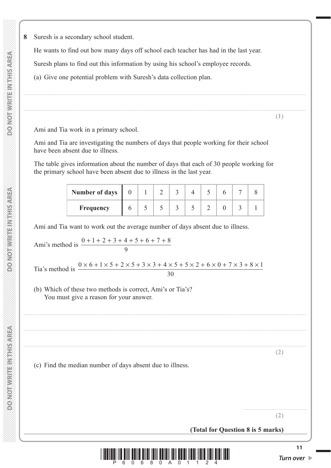**DONOTWRITEINTHISAREA** 

**8** Suresh is a secondary school student.

He wants to find out how many days off school each teacher has had in the last year.

Suresh plans to find out this information by using his school's employee records.

(a) Give one potential problem with Suresh's data collection plan.

Ami and Tia work in a primary school.

 Ami and Tia are investigating the numbers of days that people working for their school have been absent due to illness.

 The table gives information about the number of days that each of 30 people working for the primary school have been absent due to illness in the last year.

| <b>Number of days</b> |  |  |  |  |  |
|-----------------------|--|--|--|--|--|
| <b>Frequency</b>      |  |  |  |  |  |

..................................................................................................................................................................................................................................................

..................................................................................................................................................................................................................................................

..................................................................................................................................................................................................................................................

..................................................................................................................................................................................................................................................

..................................................................................................................................................................................................................................................

Ami and Tia want to work out the average number of days absent due to illness.

Ami's method is 
$$
\frac{0+1+2+3+4+5+6+7+8}{9}
$$

Tia's method is  $\frac{0 \times 6 + 1 \times 5 + 2 \times 5 + 3 \times 3 + 4 \times 5 + 5 \times 2 + 6 \times 0 + 7 \times 3 + 8 \times 1}{20}$ 30

 (b) Which of these two methods is correct, Ami's or Tia's? You must give a reason for your answer.

(c) Find the median number of days absent due to illness.

**(2)**

**(1)**

**(2)**

.......................................................

**(Total for Question 8 is 5 marks)**

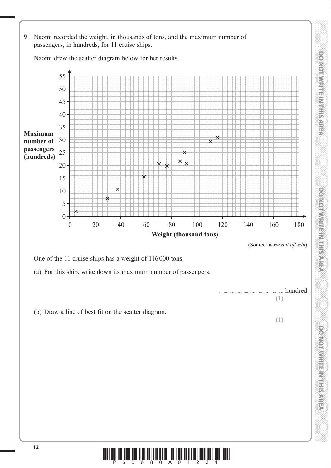

Naomi drew the scatter diagram below for her results.



(Source: *www.stat.ufl.edu*)

**(1)**

**(1)**

hundred

One of the 11 cruise ships has a weight of 116 000 tons.

(a) For this ship, write down its maximum number of passengers.



DO NOT WRITE IN THIS AREA

**DONOMANTERN HISAREA** 

**<sup>12</sup>** \*P60680A01224\*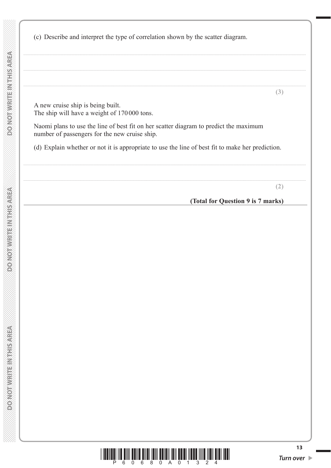**DONOT WRITEIN THIS AREA** 

**DONOT WRITEIN THIS AREA** 

| A new cruise ship is being built.                                                                                                      |                                   |
|----------------------------------------------------------------------------------------------------------------------------------------|-----------------------------------|
| The ship will have a weight of 170000 tons.                                                                                            |                                   |
| Naomi plans to use the line of best fit on her scatter diagram to predict the maximum<br>number of passengers for the new cruise ship. |                                   |
| (d) Explain whether or not it is appropriate to use the line of best fit to make her prediction.                                       |                                   |
|                                                                                                                                        |                                   |
|                                                                                                                                        | $\angle$                          |
|                                                                                                                                        | (Total for Question 9 is 7 marks) |

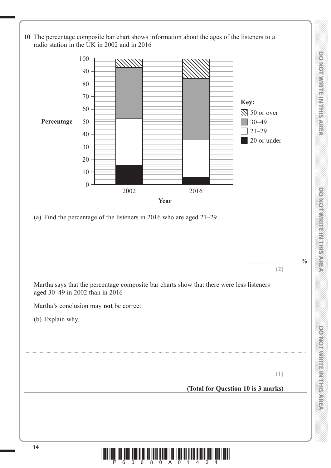

 **DO NOT WRITE IN THE IN THIS AREA DO NOT WRITE IN THIS AREA DO NOT WRITE IN THIS AREA DO NOT WRITE IN THIS AREA DO NOT WRITE IN THE INTERNATIONAL CONTINUES. THE INTERNATIONAL CONTINUES.** 

DOMOTWRITE M THIS AREA

**DOOMORATION CONTRACTS** 

DO NOT WRITE IN THIS AREA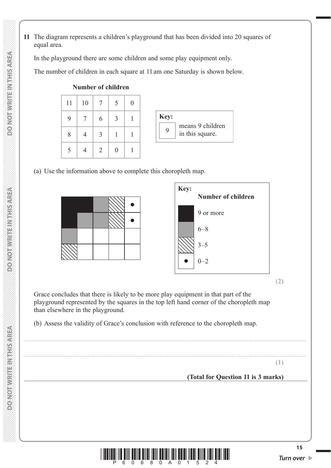**11** The diagram represents a children's playground that has been divided into 20 squares of equal area.

In the playground there are some children and some play equipment only.

The number of children in each square at 11 am one Saturday is shown below.

| 11 | 10 | $\tau$        |   |  |
|----|----|---------------|---|--|
| 9  |    | 6             | 3 |  |
| 8  |    | 3             |   |  |
|    |    | $\mathcal{D}$ |   |  |

#### **Number of children**

(a) Use the information above to complete this choropleth map.



**(2)**

 Grace concludes that there is likely to be more play equipment in that part of the playground represented by the squares in the top left hand corner of the choropleth map than elsewhere in the playground.

..................................................................................................................................................................................................................................................

..................................................................................................................................................................................................................................................

(b) Assess the validity of Grace's conclusion with reference to the choropleth map.

**(1)**

**(Total for Question 11 is 3 marks)**

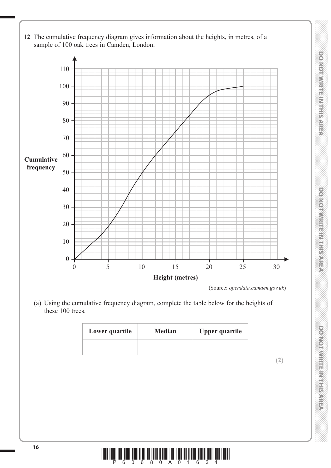- **12** The cumulative frequency diagram gives information about the heights, in metres, of a sample of 100 oak trees in Camden, London. 110 100 90 80  $70 -$ 60 50 40 30 20 **Cumulative frequency**
	- 10 0 0 5 10 15 20 25 30 **Height (metres)**

(Source: *opendata.camden.gov.uk*)

 (a) Using the cumulative frequency diagram, complete the table below for the heights of these 100 trees.

| Lower quartile | <b>Median</b> | <b>Upper quartile</b> |
|----------------|---------------|-----------------------|
|                |               |                       |

 **DO NOT WRITE IN THE IN THIS AREA DO NOT WRITE IN THIS AREA DO NOT WRITE IN THIS AREA DO NOT WRITE IN THIS AREA DO NOT WRITE IN THE INTERNATIONAL CONTINUES. THE INTERNATIONAL CONTINUES.** 

**DONOINMRITEINISTISAREA** 

DO NOTWRITE IN THIS AREA

DO NOT WIRTE IN THIS AREA

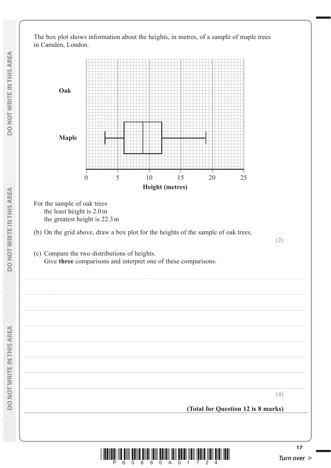The box plot shows information about the heights, in metres, of a sample of maple trees in Camden, London.



6  $\overline{0}$ 

6 8

0 A 0

Turn over ▶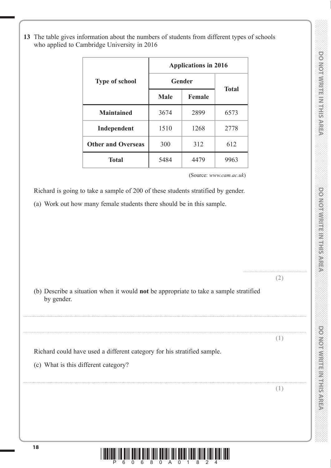.......................................................

**DOMORATIE MILLION CONSIST** 

**13** The table gives information about the numbers of students from different types of schools who applied to Cambridge University in 2016

|                           | <b>Applications in 2016</b> |               |              |
|---------------------------|-----------------------------|---------------|--------------|
| <b>Type of school</b>     | Gender                      |               |              |
|                           | <b>Male</b>                 | <b>Female</b> | <b>Total</b> |
| <b>Maintained</b>         | 3674                        | 2899          | 6573         |
| Independent               | 1510                        | 1268          | 2778         |
| <b>Other and Overseas</b> | 300                         | 312           | 612          |
| <b>Total</b>              | 5484                        | 4479          | 9963         |

(Source: *www.cam.ac.uk*)

Richard is going to take a sample of 200 of these students stratified by gender.

(a) Work out how many female students there should be in this sample.

| (b) Describe a situation when it would not be appropriate to take a sample stratified<br>by gender.<br>U.<br>Richard could have used a different category for his stratified sample.<br>(c) What is this different category? |  |  |
|------------------------------------------------------------------------------------------------------------------------------------------------------------------------------------------------------------------------------|--|--|
|                                                                                                                                                                                                                              |  |  |
|                                                                                                                                                                                                                              |  |  |
|                                                                                                                                                                                                                              |  |  |
|                                                                                                                                                                                                                              |  |  |
|                                                                                                                                                                                                                              |  |  |

**<sup>18</sup>** \*P60680A01824\*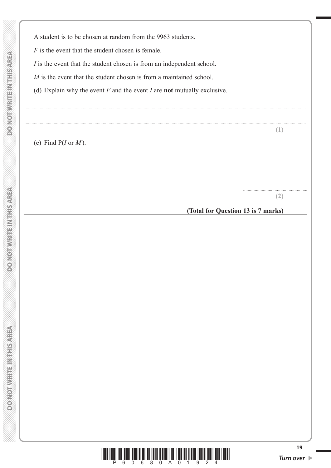*F* is the event that the student chosen is female.

*I* is the event that the student chosen is from an independent school.

*M* is the event that the student chosen is from a maintained school.

(d) Explain why the event *F* and the event *I* are **not** mutually exclusive.

..................................................................................................................................................................................................................................................

..................................................................................................................................................................................................................................................

(e) Find P(*I* or *M* ).

**(2)**

.......................................................

**(1)**

**(Total for Question 13 is 7 marks)**

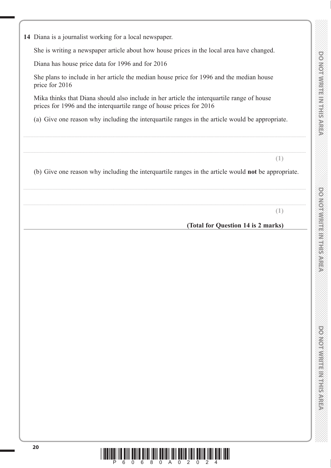**14** Diana is a journalist working for a local newspaper.

She is writing a newspaper article about how house prices in the local area have changed.

Diana has house price data for 1996 and for 2016

 She plans to include in her article the median house price for 1996 and the median house price for 2016

 Mika thinks that Diana should also include in her article the interquartile range of house prices for 1996 and the interquartile range of house prices for 2016

(a) Give one reason why including the interquartile ranges in the article would be appropriate.

..................................................................................................................................................................................................................................................

..................................................................................................................................................................................................................................................

(b) Give one reason why including the interquartile ranges in the article would **not** be appropriate.

..................................................................................................................................................................................................................................................

..................................................................................................................................................................................................................................................

**(1)**

**(1)**

**(Total for Question 14 is 2 marks)**

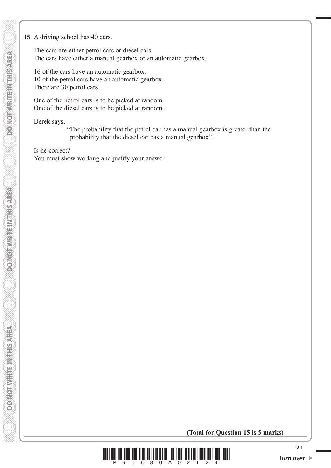#### **15** A driving school has 40 cars.

 The cars are either petrol cars or diesel cars. The cars have either a manual gearbox or an automatic gearbox.

 16 of the cars have an automatic gearbox. 10 of the petrol cars have an automatic gearbox. There are 30 petrol cars.

 One of the petrol cars is to be picked at random. One of the diesel cars is to be picked at random.

Derek says,

" The probability that the petrol car has a manual gearbox is greater than the probability that the diesel car has a manual gearbox".

 Is he correct? You must show working and justify your answer.

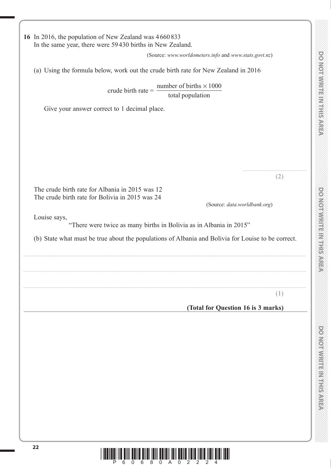**16** In 2016, the population of New Zealand was 4 660 833 In the same year, there were 59 430 births in New Zealand. (Source: *www.worldometers.info* and *www.stats.govt.nz*) (a) Using the formula below, work out the crude birth rate for New Zealand in 2016 crude birth rate = number of births  $\times 1000$ total population Give your answer correct to 1 decimal place. ....................................................... **(2)** The crude birth rate for Albania in 2015 was 12 The crude birth rate for Bolivia in 2015 was 24 (Source: *data.worldbank.org*) Louise says, "There were twice as many births in Bolivia as in Albania in 2015" (b) State what must be true about the populations of Albania and Bolivia for Louise to be correct. .................................................................................................................................................................................................................................................. .................................................................................................................................................................................................................................................. .................................................................................................................................................................................................................................................. **(1) (Total for Question 16 is 3 marks)**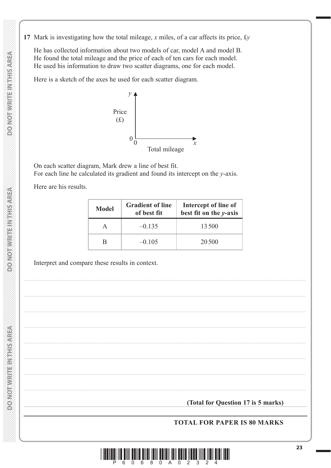17 Mark is investigating how the total mileage, x miles, of a car affects its price,  $fy$ 

He has collected information about two models of car, model A and model B. He found the total mileage and the price of each of ten cars for each model. He used his information to draw two scatter diagrams, one for each model.

Here is a sketch of the axes he used for each scatter diagram.



On each scatter diagram, Mark drew a line of best fit. For each line he calculated its gradient and found its intercept on the  $y$ -axis.

Here are his results.

| <b>Model</b> | <b>Gradient of line</b><br>of best fit | Intercept of line of<br>best fit on the y-axis |
|--------------|----------------------------------------|------------------------------------------------|
| A            | $-0.135$                               | 13500                                          |
| R            | $-0.105$                               | 20500                                          |

Interpret and compare these results in context.

(Total for Question 17 is 5 marks)

## **TOTAL FOR PAPER IS 80 MARKS**



**MERIVAL PRIVATE MARKED AS**